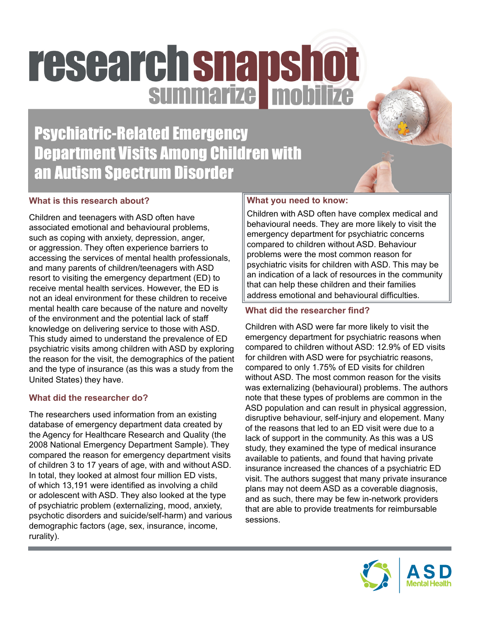# research snapshot

Psychiatric-Related Emergency Department Visits Among Children with an Autism Spectrum Disorder

# **What is this research about?**

Children and teenagers with ASD often have associated emotional and behavioural problems, such as coping with anxiety, depression, anger, or aggression. They often experience barriers to accessing the services of mental health professionals, and many parents of children/teenagers with ASD resort to visiting the emergency department (ED) to receive mental health services. However, the ED is not an ideal environment for these children to receive mental health care because of the nature and novelty of the environment and the potential lack of staff knowledge on delivering service to those with ASD. This study aimed to understand the prevalence of ED psychiatric visits among children with ASD by exploring the reason for the visit, the demographics of the patient and the type of insurance (as this was a study from the United States) they have.

# **What did the researcher do?**

The researchers used information from an existing database of emergency department data created by the Agency for Healthcare Research and Quality (the 2008 National Emergency Department Sample). They compared the reason for emergency department visits of children 3 to 17 years of age, with and without ASD. In total, they looked at almost four million ED vists, of which 13,191 were identified as involving a child or adolescent with ASD. They also looked at the type of psychiatric problem (externalizing, mood, anxiety, psychotic disorders and suicide/self-harm) and various demographic factors (age, sex, insurance, income, rurality).

# **What you need to know:**

Children with ASD often have complex medical and behavioural needs. They are more likely to visit the emergency department for psychiatric concerns compared to children without ASD. Behaviour problems were the most common reason for psychiatric visits for children with ASD. This may be an indication of a lack of resources in the community that can help these children and their families address emotional and behavioural difficulties.

# **What did the researcher find?**

Children with ASD were far more likely to visit the emergency department for psychiatric reasons when compared to children without ASD: 12.9% of ED visits for children with ASD were for psychiatric reasons, compared to only 1.75% of ED visits for children without ASD. The most common reason for the visits was externalizing (behavioural) problems. The authors note that these types of problems are common in the ASD population and can result in physical aggression, disruptive behaviour, self-injury and elopement. Many of the reasons that led to an ED visit were due to a lack of support in the community. As this was a US study, they examined the type of medical insurance available to patients, and found that having private insurance increased the chances of a psychiatric ED visit. The authors suggest that many private insurance plans may not deem ASD as a coverable diagnosis, and as such, there may be few in-network providers that are able to provide treatments for reimbursable sessions.